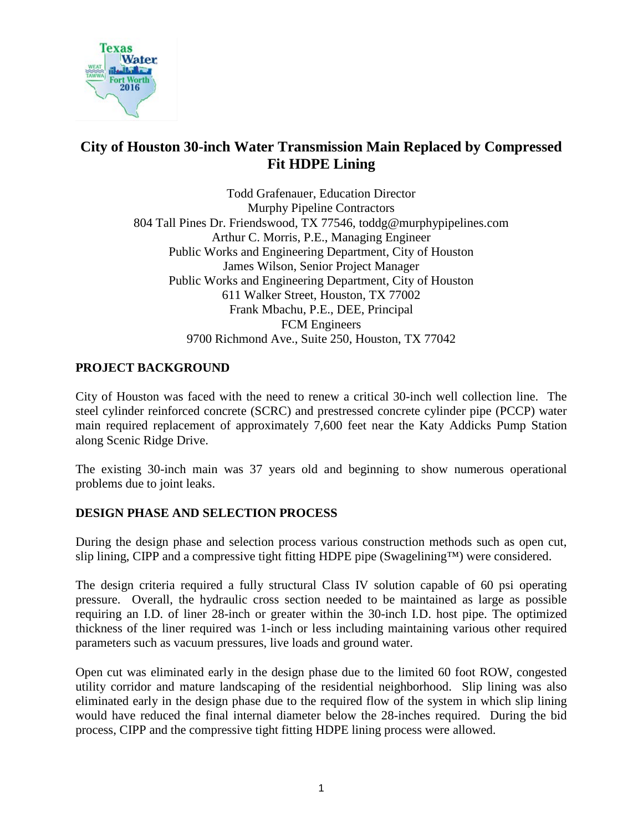

# **City of Houston 30-inch Water Transmission Main Replaced by Compressed Fit HDPE Lining**

Todd Grafenauer, Education Director Murphy Pipeline Contractors 804 Tall Pines Dr. Friendswood, TX 77546, toddg@murphypipelines.com Arthur C. Morris, P.E., Managing Engineer Public Works and Engineering Department, City of Houston James Wilson, Senior Project Manager Public Works and Engineering Department, City of Houston 611 Walker Street, Houston, TX 77002 Frank Mbachu, P.E., DEE, Principal FCM Engineers 9700 Richmond Ave., Suite 250, Houston, TX 77042

# **PROJECT BACKGROUND**

City of Houston was faced with the need to renew a critical 30-inch well collection line. The steel cylinder reinforced concrete (SCRC) and prestressed concrete cylinder pipe (PCCP) water main required replacement of approximately 7,600 feet near the Katy Addicks Pump Station along Scenic Ridge Drive.

The existing 30-inch main was 37 years old and beginning to show numerous operational problems due to joint leaks.

### **DESIGN PHASE AND SELECTION PROCESS**

During the design phase and selection process various construction methods such as open cut, slip lining, CIPP and a compressive tight fitting HDPE pipe (Swagelining™) were considered.

The design criteria required a fully structural Class IV solution capable of 60 psi operating pressure. Overall, the hydraulic cross section needed to be maintained as large as possible requiring an I.D. of liner 28-inch or greater within the 30-inch I.D. host pipe. The optimized thickness of the liner required was 1-inch or less including maintaining various other required parameters such as vacuum pressures, live loads and ground water.

Open cut was eliminated early in the design phase due to the limited 60 foot ROW, congested utility corridor and mature landscaping of the residential neighborhood. Slip lining was also eliminated early in the design phase due to the required flow of the system in which slip lining would have reduced the final internal diameter below the 28-inches required. During the bid process, CIPP and the compressive tight fitting HDPE lining process were allowed.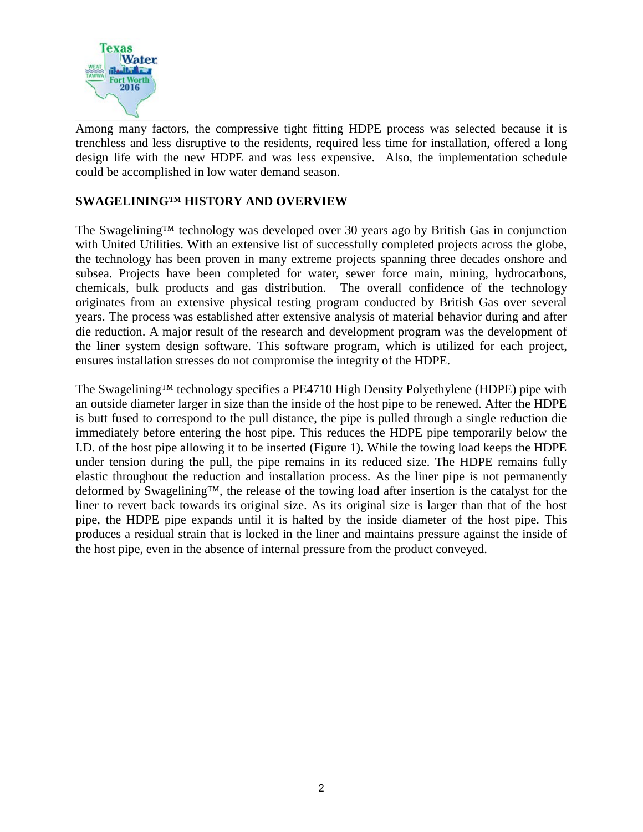

Among many factors, the compressive tight fitting HDPE process was selected because it is trenchless and less disruptive to the residents, required less time for installation, offered a long design life with the new HDPE and was less expensive. Also, the implementation schedule could be accomplished in low water demand season.

# **SWAGELINING™ HISTORY AND OVERVIEW**

The Swagelining™ technology was developed over 30 years ago by British Gas in conjunction with United Utilities. With an extensive list of successfully completed projects across the globe, the technology has been proven in many extreme projects spanning three decades onshore and subsea. Projects have been completed for water, sewer force main, mining, hydrocarbons, chemicals, bulk products and gas distribution. The overall confidence of the technology originates from an extensive physical testing program conducted by British Gas over several years. The process was established after extensive analysis of material behavior during and after die reduction. A major result of the research and development program was the development of the liner system design software. This software program, which is utilized for each project, ensures installation stresses do not compromise the integrity of the HDPE.

The Swagelining™ technology specifies a PE4710 High Density Polyethylene (HDPE) pipe with an outside diameter larger in size than the inside of the host pipe to be renewed. After the HDPE is butt fused to correspond to the pull distance, the pipe is pulled through a single reduction die immediately before entering the host pipe. This reduces the HDPE pipe temporarily below the I.D. of the host pipe allowing it to be inserted (Figure 1). While the towing load keeps the HDPE under tension during the pull, the pipe remains in its reduced size. The HDPE remains fully elastic throughout the reduction and installation process. As the liner pipe is not permanently deformed by Swagelining™, the release of the towing load after insertion is the catalyst for the liner to revert back towards its original size. As its original size is larger than that of the host pipe, the HDPE pipe expands until it is halted by the inside diameter of the host pipe. This produces a residual strain that is locked in the liner and maintains pressure against the inside of the host pipe, even in the absence of internal pressure from the product conveyed.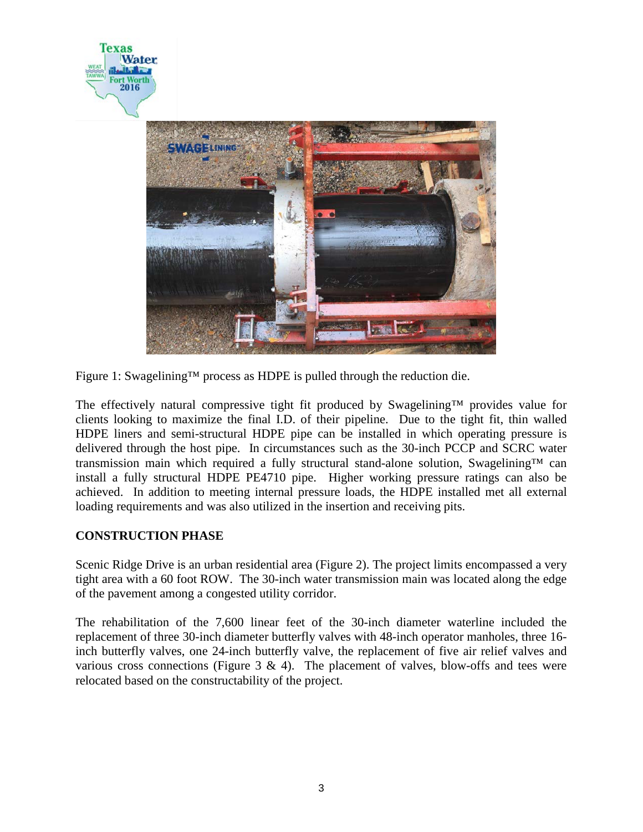

Figure 1: Swagelining™ process as HDPE is pulled through the reduction die.

The effectively natural compressive tight fit produced by Swagelining™ provides value for clients looking to maximize the final I.D. of their pipeline. Due to the tight fit, thin walled HDPE liners and semi-structural HDPE pipe can be installed in which operating pressure is delivered through the host pipe. In circumstances such as the 30-inch PCCP and SCRC water transmission main which required a fully structural stand-alone solution, Swagelining™ can install a fully structural HDPE PE4710 pipe. Higher working pressure ratings can also be achieved. In addition to meeting internal pressure loads, the HDPE installed met all external loading requirements and was also utilized in the insertion and receiving pits.

# **CONSTRUCTION PHASE**

Scenic Ridge Drive is an urban residential area (Figure 2). The project limits encompassed a very tight area with a 60 foot ROW. The 30-inch water transmission main was located along the edge of the pavement among a congested utility corridor.

The rehabilitation of the 7,600 linear feet of the 30-inch diameter waterline included the replacement of three 30-inch diameter butterfly valves with 48-inch operator manholes, three 16 inch butterfly valves, one 24-inch butterfly valve, the replacement of five air relief valves and various cross connections (Figure 3 & 4). The placement of valves, blow-offs and tees were relocated based on the constructability of the project.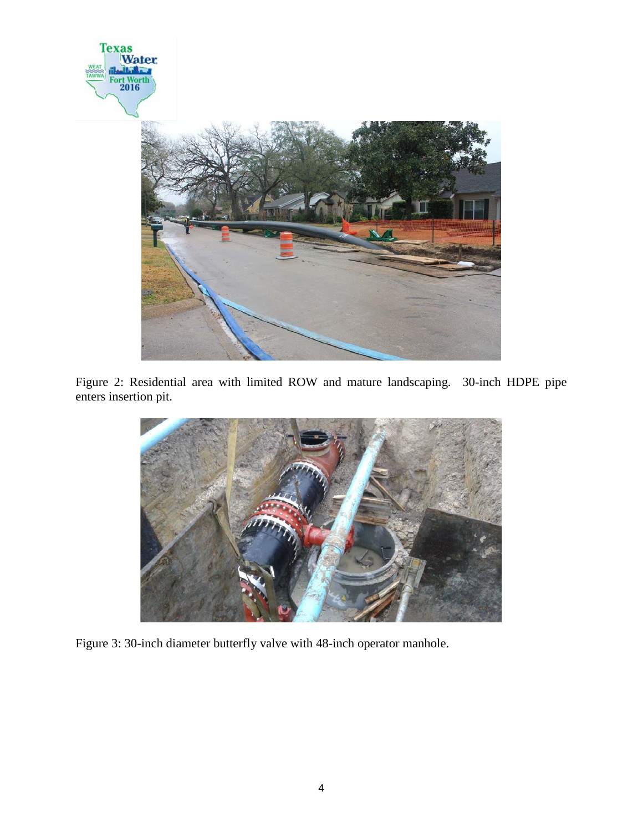

Figure 2: Residential area with limited ROW and mature landscaping. 30-inch HDPE pipe enters insertion pit.



Figure 3: 30-inch diameter butterfly valve with 48-inch operator manhole.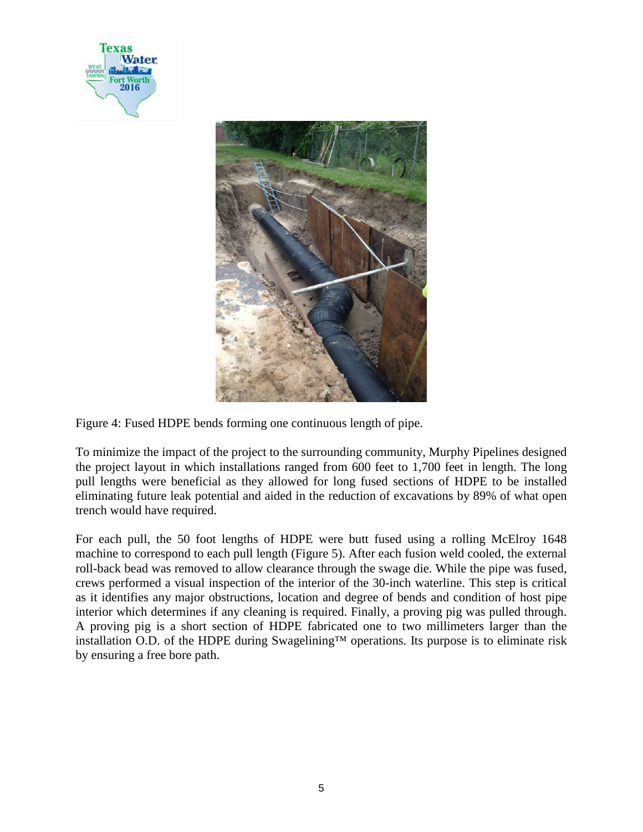



Figure 4: Fused HDPE bends forming one continuous length of pipe.

To minimize the impact of the project to the surrounding community, Murphy Pipelines designed the project layout in which installations ranged from 600 feet to 1,700 feet in length. The long pull lengths were beneficial as they allowed for long fused sections of HDPE to be installed eliminating future leak potential and aided in the reduction of excavations by 89% of what open trench would have required.

For each pull, the 50 foot lengths of HDPE were butt fused using a rolling McElroy 1648 machine to correspond to each pull length (Figure 5). After each fusion weld cooled, the external roll-back bead was removed to allow clearance through the swage die. While the pipe was fused, crews performed a visual inspection of the interior of the 30-inch waterline. This step is critical as it identifies any major obstructions, location and degree of bends and condition of host pipe interior which determines if any cleaning is required. Finally, a proving pig was pulled through. A proving pig is a short section of HDPE fabricated one to two millimeters larger than the installation O.D. of the HDPE during Swagelining™ operations. Its purpose is to eliminate risk by ensuring a free bore path.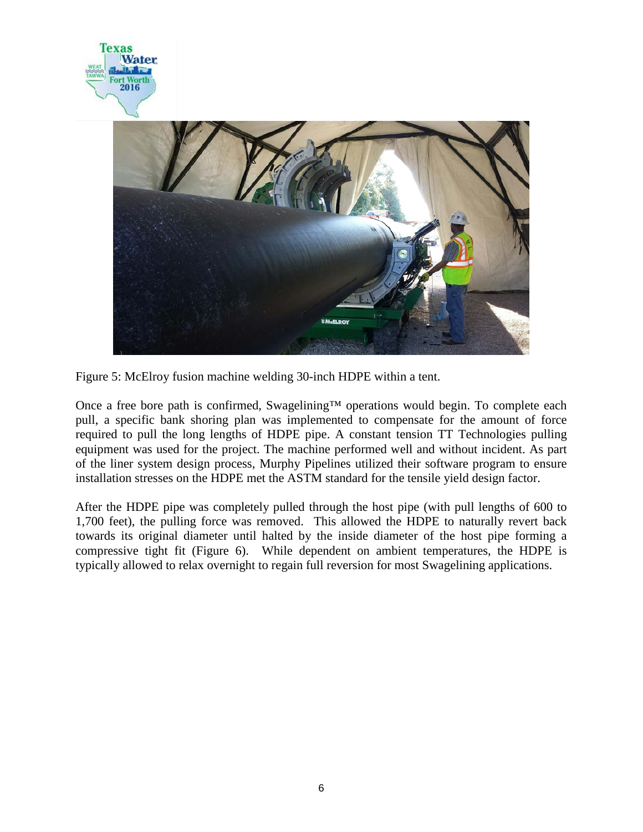

Figure 5: McElroy fusion machine welding 30-inch HDPE within a tent.

**Texas** 

**Water** 

Once a free bore path is confirmed, Swagelining™ operations would begin. To complete each pull, a specific bank shoring plan was implemented to compensate for the amount of force required to pull the long lengths of HDPE pipe. A constant tension TT Technologies pulling equipment was used for the project. The machine performed well and without incident. As part of the liner system design process, Murphy Pipelines utilized their software program to ensure installation stresses on the HDPE met the ASTM standard for the tensile yield design factor.

After the HDPE pipe was completely pulled through the host pipe (with pull lengths of 600 to 1,700 feet), the pulling force was removed. This allowed the HDPE to naturally revert back towards its original diameter until halted by the inside diameter of the host pipe forming a compressive tight fit (Figure 6). While dependent on ambient temperatures, the HDPE is typically allowed to relax overnight to regain full reversion for most Swagelining applications.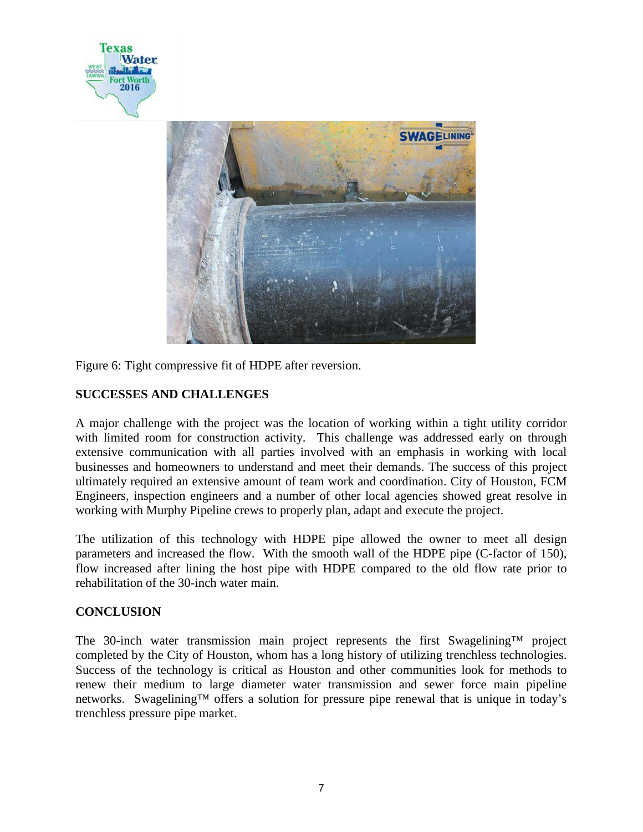



Figure 6: Tight compressive fit of HDPE after reversion.

# **SUCCESSES AND CHALLENGES**

A major challenge with the project was the location of working within a tight utility corridor with limited room for construction activity. This challenge was addressed early on through extensive communication with all parties involved with an emphasis in working with local businesses and homeowners to understand and meet their demands. The success of this project ultimately required an extensive amount of team work and coordination. City of Houston, FCM Engineers, inspection engineers and a number of other local agencies showed great resolve in working with Murphy Pipeline crews to properly plan, adapt and execute the project.

The utilization of this technology with HDPE pipe allowed the owner to meet all design parameters and increased the flow. With the smooth wall of the HDPE pipe (C-factor of 150), flow increased after lining the host pipe with HDPE compared to the old flow rate prior to rehabilitation of the 30-inch water main.

### **CONCLUSION**

The 30-inch water transmission main project represents the first Swagelining™ project completed by the City of Houston, whom has a long history of utilizing trenchless technologies. Success of the technology is critical as Houston and other communities look for methods to renew their medium to large diameter water transmission and sewer force main pipeline networks. Swagelining™ offers a solution for pressure pipe renewal that is unique in today's trenchless pressure pipe market.